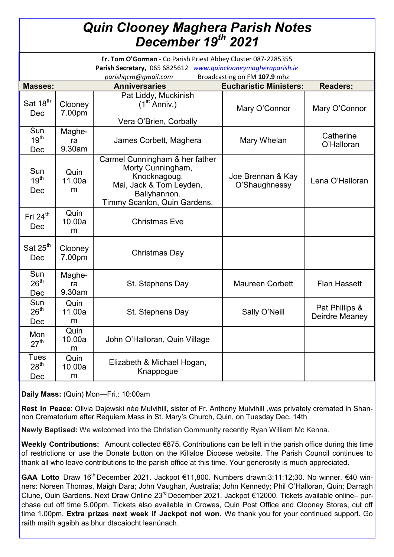## *Quin Clooney Maghera Parish Notes December 19th 2021*

| Fr. Tom O'Gorman - Co Parish Priest Abbey Cluster 087-2285355<br>Parish Secretary, 065 6825612 www.quinclooneymagheraparish.ie<br>Broadcasting on FM 107.9 mhz<br>parishqcm@gmail.com |                        |                                                                                                                                                |                                    |                                  |
|---------------------------------------------------------------------------------------------------------------------------------------------------------------------------------------|------------------------|------------------------------------------------------------------------------------------------------------------------------------------------|------------------------------------|----------------------------------|
| <b>Masses:</b>                                                                                                                                                                        |                        | <b>Anniversaries</b>                                                                                                                           | <b>Eucharistic Ministers:</b>      | <b>Readers:</b>                  |
| Sat 18 <sup>th</sup><br>Dec                                                                                                                                                           | Clooney<br>7.00pm      | Pat Liddy, Muckinish<br>$(1st$ Anniv.)<br>Vera O'Brien, Corbally                                                                               | Mary O'Connor                      | Mary O'Connor                    |
| Sun<br>19 <sup>th</sup><br>Dec                                                                                                                                                        | Maghe-<br>ra<br>9.30am | James Corbett, Maghera                                                                                                                         | Mary Whelan                        | Catherine<br>O'Halloran          |
| Sun<br>19 <sup>th</sup><br>Dec                                                                                                                                                        | Quin<br>11.00a<br>m    | Carmel Cunningham & her father<br>Morty Cunningham,<br>Knocknagoug.<br>Mai, Jack & Tom Leyden,<br>Ballyhannon.<br>Timmy Scanlon, Quin Gardens. | Joe Brennan & Kay<br>O'Shaughnessy | Lena O'Halloran                  |
| Fri $24th$<br>Dec                                                                                                                                                                     | Quin<br>10.00a<br>m    | <b>Christmas Eve</b>                                                                                                                           |                                    |                                  |
| Sat 25 <sup>th</sup><br>Dec                                                                                                                                                           | Clooney<br>7.00pm      | Christmas Day                                                                                                                                  |                                    |                                  |
| Sun<br>26 <sup>th</sup><br>Dec                                                                                                                                                        | Maghe-<br>ra<br>9.30am | St. Stephens Day                                                                                                                               | <b>Maureen Corbett</b>             | <b>Flan Hassett</b>              |
| Sun<br>26 <sup>th</sup><br>Dec                                                                                                                                                        | Quin<br>11.00a<br>m    | St. Stephens Day                                                                                                                               | Sally O'Neill                      | Pat Phillips &<br>Deirdre Meaney |
| Mon<br>27 <sup>th</sup>                                                                                                                                                               | Quin<br>10.00a<br>m    | John O'Halloran, Quin Village                                                                                                                  |                                    |                                  |
| <b>Tues</b><br>28 <sup>th</sup><br>Dec                                                                                                                                                | Quin<br>10.00a<br>m    | Elizabeth & Michael Hogan,<br>Knappogue                                                                                                        |                                    |                                  |

**Daily Mass:** (Quin) Mon—Fri.: 10:00am

**Rest In Peace**: Olivia Dajewski née Mulvihill, sister of Fr. Anthony Mulvihill ,was privately cremated in Shannon Crematorium after Requiem Mass in St. Mary's Church, Quin, on Tuesday Dec. 14th.

**Newly Baptised:** We welcomed into the Christian Community recently Ryan William Mc Kenna.

**Weekly Contributions:** Amount collected €875. Contributions can be left in the parish office during this time of restrictions or use the Donate button on the Killaloe Diocese website. The Parish Council continues to thank all who leave contributions to the parish office at this time. Your generosity is much appreciated.

GAA Lotto Draw 16<sup>th</sup> December 2021. Jackpot €11,800. Numbers drawn:3;11;12;30. No winner. €40 winners: Noreen Thomas, Maigh Dara; John Vaughan, Australia; John Kennedy; Phil O'Halloran, Quin; Darragh Clune, Quin Gardens. Next Draw Online 23rd December 2021. Jackpot €12000. Tickets available online– purchase cut off time 5.00pm. Tickets also available in Crowes, Quin Post Office and Clooney Stores, cut off time 1.00pm. **Extra prizes next week if Jackpot not won.** We thank you for your continued support. Go raith maith agaibh as bhur dtacaíocht leanúnach.